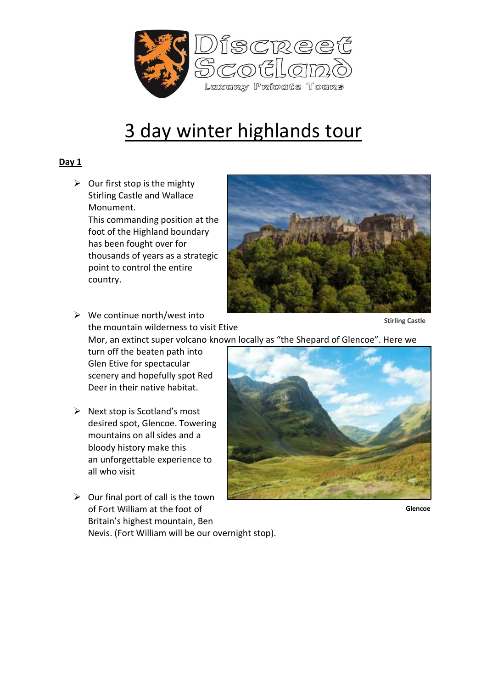

## 3 day winter highlands tour

## **Day 1**

 $\triangleright$  Our first stop is the mighty Stirling Castle and Wallace Monument. This commanding position at the foot of the Highland boundary has been fought over for thousands of years as a strategic point to control the entire country.



 $\triangleright$  We continue north/west into the mountain wilderness to visit Etive

**Stirling Castle** 

Mor, an extinct super volcano known locally as "the Shepard of Glencoe". Here we

turn off the beaten path into Glen Etive for spectacular scenery and hopefully spot Red Deer in their native habitat.

- $\triangleright$  Next stop is Scotland's most desired spot, Glencoe. Towering mountains on all sides and a bloody history make this an unforgettable experience to all who visit
- $\triangleright$  Our final port of call is the town of Fort William at the foot of Britain's highest mountain, Ben Nevis. (Fort William will be our overnight stop).



**Glencoe**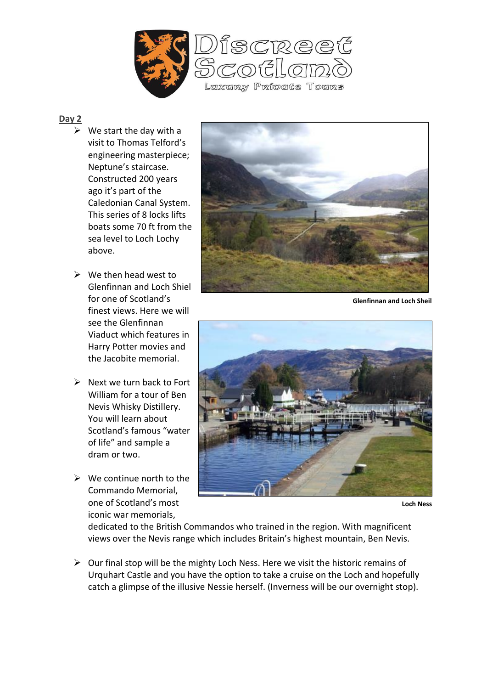

## **Day 2**

- $\triangleright$  We start the day with a visit to Thomas Telford's engineering masterpiece; Neptune's staircase. Constructed 200 years ago it's part of the Caledonian Canal System. This series of 8 locks lifts boats some 70 ft from the sea level to Loch Lochy above.
- $\triangleright$  We then head west to Glenfinnan and Loch Shiel for one of Scotland's finest views. Here we will see the Glenfinnan Viaduct which features in Harry Potter movies and the Jacobite memorial.
- $\triangleright$  Next we turn back to Fort William for a tour of Ben Nevis Whisky Distillery. You will learn about Scotland's famous "water of life" and sample a dram or two.
- $\triangleright$  We continue north to the Commando Memorial, one of Scotland's most iconic war memorials,



**Glenfinnan and Loch Sheil** 



**Loch Ness** 

dedicated to the British Commandos who trained in the region. With magnificent views over the Nevis range which includes Britain's highest mountain, Ben Nevis.

 $\triangleright$  Our final stop will be the mighty Loch Ness. Here we visit the historic remains of Urquhart Castle and you have the option to take a cruise on the Loch and hopefully catch a glimpse of the illusive Nessie herself. (Inverness will be our overnight stop).